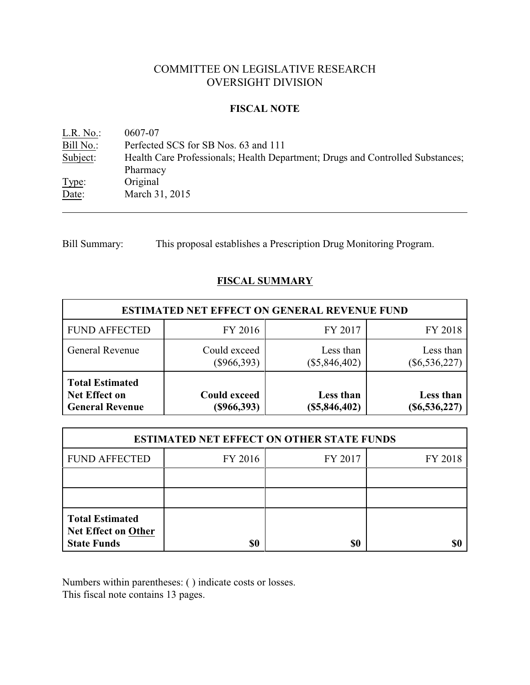# COMMITTEE ON LEGISLATIVE RESEARCH OVERSIGHT DIVISION

### **FISCAL NOTE**

<u>L.R. No.</u>: 0607-07<br>Bill No.: Perfected Bill No.: Perfected SCS for SB Nos. 63 and 111<br>Subject: Health Care Professionals; Health Depa Health Care Professionals; Health Department; Drugs and Controlled Substances; Pharmacy Type: Original Date: March 31, 2015

Bill Summary: This proposal establishes a Prescription Drug Monitoring Program.

# **FISCAL SUMMARY**

| <b>ESTIMATED NET EFFECT ON GENERAL REVENUE FUND</b>                      |                                      |                              |                              |  |  |
|--------------------------------------------------------------------------|--------------------------------------|------------------------------|------------------------------|--|--|
| <b>FUND AFFECTED</b>                                                     | FY 2016                              | FY 2017                      | FY 2018                      |  |  |
| <b>General Revenue</b>                                                   | Could exceed<br>$(\$966,393)$        | Less than<br>$(\$5,846,402)$ | Less than<br>$(\$6,536,227)$ |  |  |
| <b>Total Estimated</b><br><b>Net Effect on</b><br><b>General Revenue</b> | <b>Could exceed</b><br>$(\$966,393)$ | Less than<br>(\$5,846,402)   | Less than<br>$(\$6,536,227)$ |  |  |

| <b>ESTIMATED NET EFFECT ON OTHER STATE FUNDS</b>                           |         |         |         |  |  |
|----------------------------------------------------------------------------|---------|---------|---------|--|--|
| <b>FUND AFFECTED</b>                                                       | FY 2016 | FY 2017 | FY 2018 |  |  |
|                                                                            |         |         |         |  |  |
|                                                                            |         |         |         |  |  |
| <b>Total Estimated</b><br><b>Net Effect on Other</b><br><b>State Funds</b> | \$0     | \$0     |         |  |  |

Numbers within parentheses: ( ) indicate costs or losses.

This fiscal note contains 13 pages.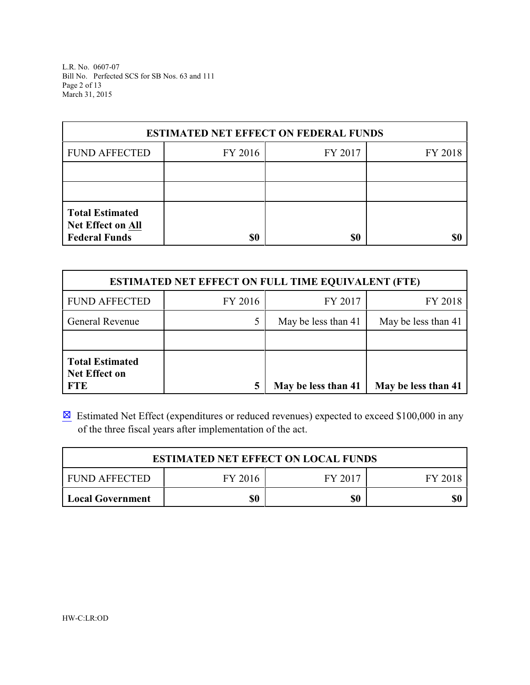L.R. No. 0607-07 Bill No. Perfected SCS for SB Nos. 63 and 111 Page 2 of 13 March 31, 2015

| <b>ESTIMATED NET EFFECT ON FEDERAL FUNDS</b>                        |         |         |         |  |  |
|---------------------------------------------------------------------|---------|---------|---------|--|--|
| <b>FUND AFFECTED</b>                                                | FY 2016 | FY 2017 | FY 2018 |  |  |
|                                                                     |         |         |         |  |  |
|                                                                     |         |         |         |  |  |
| <b>Total Estimated</b><br>Net Effect on All<br><b>Federal Funds</b> | \$0     | \$0     |         |  |  |

| <b>ESTIMATED NET EFFECT ON FULL TIME EQUIVALENT (FTE)</b>    |         |                     |                     |  |  |
|--------------------------------------------------------------|---------|---------------------|---------------------|--|--|
| <b>FUND AFFECTED</b>                                         | FY 2016 | FY 2017             | FY 2018             |  |  |
| <b>General Revenue</b>                                       |         | May be less than 41 | May be less than 41 |  |  |
|                                                              |         |                     |                     |  |  |
| <b>Total Estimated</b><br><b>Net Effect on</b><br><b>FTE</b> |         | May be less than 41 | May be less than 41 |  |  |

 $\boxtimes$  Estimated Net Effect (expenditures or reduced revenues) expected to exceed \$100,000 in any of the three fiscal years after implementation of the act.

| <b>ESTIMATED NET EFFECT ON LOCAL FUNDS</b>       |  |  |  |  |  |  |
|--------------------------------------------------|--|--|--|--|--|--|
| FY 2017<br>I FUND AFFECTED<br>FY 2016<br>FY 2018 |  |  |  |  |  |  |
| \$0<br>\$0<br>\$0<br>Local Government            |  |  |  |  |  |  |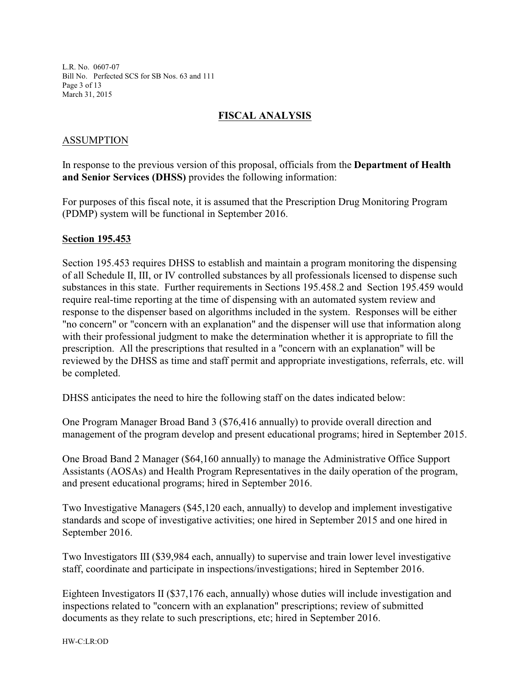L.R. No. 0607-07 Bill No. Perfected SCS for SB Nos. 63 and 111 Page 3 of 13 March 31, 2015

## **FISCAL ANALYSIS**

### ASSUMPTION

In response to the previous version of this proposal, officials from the **Department of Health and Senior Services (DHSS)** provides the following information:

For purposes of this fiscal note, it is assumed that the Prescription Drug Monitoring Program (PDMP) system will be functional in September 2016.

#### **Section 195.453**

Section 195.453 requires DHSS to establish and maintain a program monitoring the dispensing of all Schedule II, III, or IV controlled substances by all professionals licensed to dispense such substances in this state. Further requirements in Sections 195.458.2 and Section 195.459 would require real-time reporting at the time of dispensing with an automated system review and response to the dispenser based on algorithms included in the system. Responses will be either "no concern" or "concern with an explanation" and the dispenser will use that information along with their professional judgment to make the determination whether it is appropriate to fill the prescription. All the prescriptions that resulted in a "concern with an explanation" will be reviewed by the DHSS as time and staff permit and appropriate investigations, referrals, etc. will be completed.

DHSS anticipates the need to hire the following staff on the dates indicated below:

One Program Manager Broad Band 3 (\$76,416 annually) to provide overall direction and management of the program develop and present educational programs; hired in September 2015.

One Broad Band 2 Manager (\$64,160 annually) to manage the Administrative Office Support Assistants (AOSAs) and Health Program Representatives in the daily operation of the program, and present educational programs; hired in September 2016.

Two Investigative Managers (\$45,120 each, annually) to develop and implement investigative standards and scope of investigative activities; one hired in September 2015 and one hired in September 2016.

Two Investigators III (\$39,984 each, annually) to supervise and train lower level investigative staff, coordinate and participate in inspections/investigations; hired in September 2016.

Eighteen Investigators II (\$37,176 each, annually) whose duties will include investigation and inspections related to "concern with an explanation" prescriptions; review of submitted documents as they relate to such prescriptions, etc; hired in September 2016.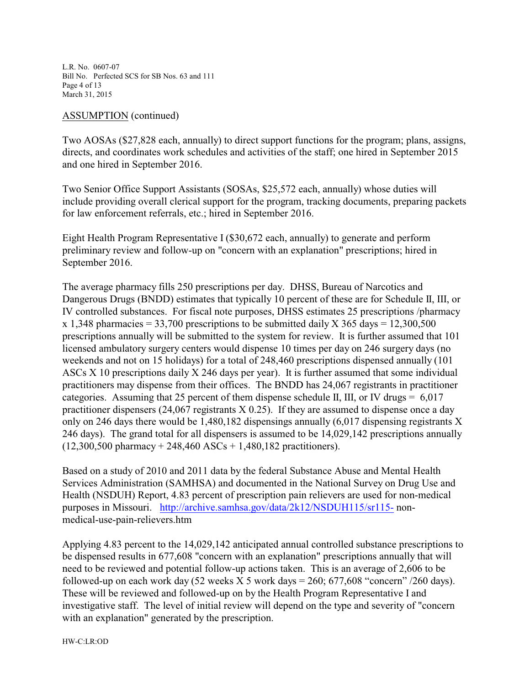L.R. No. 0607-07 Bill No. Perfected SCS for SB Nos. 63 and 111 Page 4 of 13 March 31, 2015

#### ASSUMPTION (continued)

Two AOSAs (\$27,828 each, annually) to direct support functions for the program; plans, assigns, directs, and coordinates work schedules and activities of the staff; one hired in September 2015 and one hired in September 2016.

Two Senior Office Support Assistants (SOSAs, \$25,572 each, annually) whose duties will include providing overall clerical support for the program, tracking documents, preparing packets for law enforcement referrals, etc.; hired in September 2016.

Eight Health Program Representative I (\$30,672 each, annually) to generate and perform preliminary review and follow-up on "concern with an explanation" prescriptions; hired in September 2016.

The average pharmacy fills 250 prescriptions per day. DHSS, Bureau of Narcotics and Dangerous Drugs (BNDD) estimates that typically 10 percent of these are for Schedule II, III, or IV controlled substances. For fiscal note purposes, DHSS estimates 25 prescriptions /pharmacy x 1,348 pharmacies = 33,700 prescriptions to be submitted daily X 365 days = 12,300,500 prescriptions annually will be submitted to the system for review. It is further assumed that 101 licensed ambulatory surgery centers would dispense 10 times per day on 246 surgery days (no weekends and not on 15 holidays) for a total of 248,460 prescriptions dispensed annually (101 ASCs X 10 prescriptions daily X 246 days per year). It is further assumed that some individual practitioners may dispense from their offices. The BNDD has 24,067 registrants in practitioner categories. Assuming that 25 percent of them dispense schedule II, III, or IV drugs  $= 6.017$ practitioner dispensers (24,067 registrants X 0.25). If they are assumed to dispense once a day only on 246 days there would be 1,480,182 dispensings annually (6,017 dispensing registrants X 246 days). The grand total for all dispensers is assumed to be 14,029,142 prescriptions annually  $(12,300,500 \text{ pharmacy} + 248,460 \text{ ASCs} + 1,480,182 \text{ practitioners}).$ 

Based on a study of 2010 and 2011 data by the federal Substance Abuse and Mental Health Services Administration (SAMHSA) and documented in the National Survey on Drug Use and Health (NSDUH) Report, 4.83 percent of prescription pain relievers are used for non-medical purposes in Missouri. <http://archive.samhsa.gov/data/2k12/NSDUH115/sr115-> nonmedical-use-pain-relievers.htm

Applying 4.83 percent to the 14,029,142 anticipated annual controlled substance prescriptions to be dispensed results in 677,608 "concern with an explanation" prescriptions annually that will need to be reviewed and potential follow-up actions taken. This is an average of 2,606 to be followed-up on each work day  $(52 \text{ weeks } X 5 \text{ work days} = 260; 677,608 \text{ "concern" } / 260 \text{ days}).$ These will be reviewed and followed-up on by the Health Program Representative I and investigative staff. The level of initial review will depend on the type and severity of "concern with an explanation" generated by the prescription.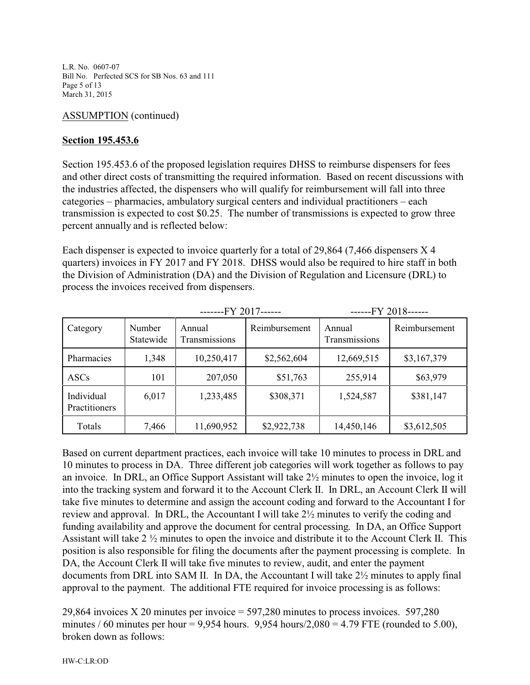L.R. No. 0607-07 Bill No. Perfected SCS for SB Nos. 63 and 111 Page 5 of 13 March 31, 2015

## ASSUMPTION (continued)

## **Section 195.453.6**

Section 195.453.6 of the proposed legislation requires DHSS to reimburse dispensers for fees and other direct costs of transmitting the required information. Based on recent discussions with the industries affected, the dispensers who will qualify for reimbursement will fall into three categories – pharmacies, ambulatory surgical centers and individual practitioners – each transmission is expected to cost \$0.25. The number of transmissions is expected to grow three percent annually and is reflected below:

Each dispenser is expected to invoice quarterly for a total of 29,864 (7,466 dispensers X 4 quarters) invoices in FY 2017 and FY 2018. DHSS would also be required to hire staff in both the Division of Administration (DA) and the Division of Regulation and Licensure (DRL) to process the invoices received from dispensers.

|                             |                     | -------FY 2017------    |               | ------FY 2018------     |               |
|-----------------------------|---------------------|-------------------------|---------------|-------------------------|---------------|
| Category                    | Number<br>Statewide | Annual<br>Transmissions | Reimbursement | Annual<br>Transmissions | Reimbursement |
| Pharmacies                  | 1,348               | 10,250,417              | \$2,562,604   | 12,669,515              | \$3,167,379   |
| <b>ASCs</b>                 | 101                 | 207,050                 | \$51,763      | 255,914                 | \$63,979      |
| Individual<br>Practitioners | 6,017               | 1,233,485               | \$308,371     | 1,524,587               | \$381,147     |
| Totals                      | 7,466               | 11,690,952              | \$2,922,738   | 14,450,146              | \$3,612,505   |

Based on current department practices, each invoice will take 10 minutes to process in DRL and 10 minutes to process in DA. Three different job categories will work together as follows to pay an invoice. In DRL, an Office Support Assistant will take 2½ minutes to open the invoice, log it into the tracking system and forward it to the Account Clerk II. In DRL, an Account Clerk II will take five minutes to determine and assign the account coding and forward to the Accountant I for review and approval. In DRL, the Accountant I will take 2½ minutes to verify the coding and funding availability and approve the document for central processing. In DA, an Office Support Assistant will take 2 ½ minutes to open the invoice and distribute it to the Account Clerk II. This position is also responsible for filing the documents after the payment processing is complete. In DA, the Account Clerk II will take five minutes to review, audit, and enter the payment documents from DRL into SAM II. In DA, the Accountant I will take 2½ minutes to apply final approval to the payment. The additional FTE required for invoice processing is as follows:

29,864 invoices X 20 minutes per invoice = 597,280 minutes to process invoices. 597,280 minutes / 60 minutes per hour = 9,954 hours. 9,954 hours/ $2,080 = 4.79$  FTE (rounded to 5.00), broken down as follows: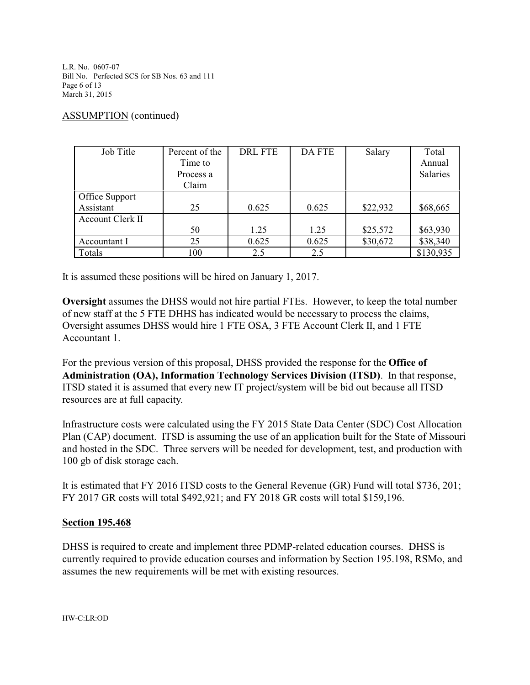L.R. No. 0607-07 Bill No. Perfected SCS for SB Nos. 63 and 111 Page 6 of 13 March 31, 2015

### ASSUMPTION (continued)

| Job Title        | Percent of the | <b>DRL FTE</b> | <b>DA FTE</b> | Salary   | Total           |
|------------------|----------------|----------------|---------------|----------|-----------------|
|                  | Time to        |                |               |          | Annual          |
|                  | Process a      |                |               |          | <b>Salaries</b> |
|                  | Claim          |                |               |          |                 |
| Office Support   |                |                |               |          |                 |
| Assistant        | 25             | 0.625          | 0.625         | \$22,932 | \$68,665        |
| Account Clerk II |                |                |               |          |                 |
|                  | 50             | 1.25           | 1.25          | \$25,572 | \$63,930        |
| Accountant I     | 25             | 0.625          | 0.625         | \$30,672 | \$38,340        |
| Totals           | 100            | 2.5            | 2.5           |          | \$130,935       |

It is assumed these positions will be hired on January 1, 2017.

**Oversight** assumes the DHSS would not hire partial FTEs. However, to keep the total number of new staff at the 5 FTE DHHS has indicated would be necessary to process the claims, Oversight assumes DHSS would hire 1 FTE OSA, 3 FTE Account Clerk II, and 1 FTE Accountant 1.

For the previous version of this proposal, DHSS provided the response for the **Office of Administration (OA), Information Technology Services Division (ITSD)**. In that response, ITSD stated it is assumed that every new IT project/system will be bid out because all ITSD resources are at full capacity.

Infrastructure costs were calculated using the FY 2015 State Data Center (SDC) Cost Allocation Plan (CAP) document. ITSD is assuming the use of an application built for the State of Missouri and hosted in the SDC. Three servers will be needed for development, test, and production with 100 gb of disk storage each.

It is estimated that FY 2016 ITSD costs to the General Revenue (GR) Fund will total \$736, 201; FY 2017 GR costs will total \$492,921; and FY 2018 GR costs will total \$159,196.

### **Section 195.468**

DHSS is required to create and implement three PDMP-related education courses. DHSS is currently required to provide education courses and information by Section 195.198, RSMo, and assumes the new requirements will be met with existing resources.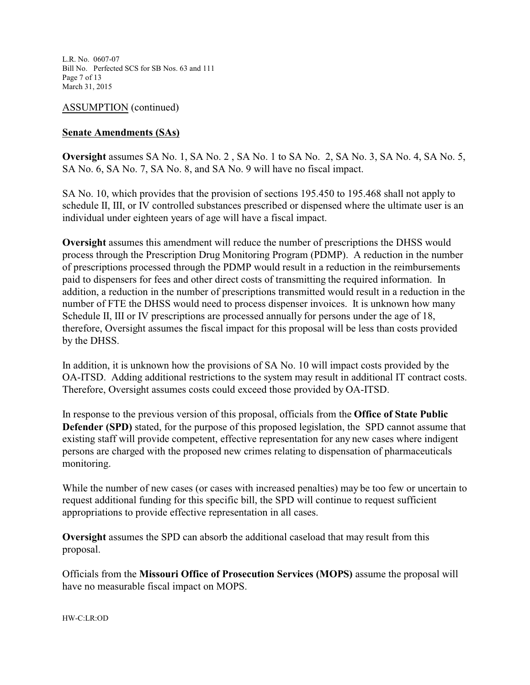L.R. No. 0607-07 Bill No. Perfected SCS for SB Nos. 63 and 111 Page 7 of 13 March 31, 2015

ASSUMPTION (continued)

### **Senate Amendments (SAs)**

**Oversight** assumes SA No. 1, SA No. 2 , SA No. 1 to SA No. 2, SA No. 3, SA No. 4, SA No. 5, SA No. 6, SA No. 7, SA No. 8, and SA No. 9 will have no fiscal impact.

SA No. 10, which provides that the provision of sections 195.450 to 195.468 shall not apply to schedule II, III, or IV controlled substances prescribed or dispensed where the ultimate user is an individual under eighteen years of age will have a fiscal impact.

**Oversight** assumes this amendment will reduce the number of prescriptions the DHSS would process through the Prescription Drug Monitoring Program (PDMP). A reduction in the number of prescriptions processed through the PDMP would result in a reduction in the reimbursements paid to dispensers for fees and other direct costs of transmitting the required information. In addition, a reduction in the number of prescriptions transmitted would result in a reduction in the number of FTE the DHSS would need to process dispenser invoices. It is unknown how many Schedule II, III or IV prescriptions are processed annually for persons under the age of 18, therefore, Oversight assumes the fiscal impact for this proposal will be less than costs provided by the DHSS.

In addition, it is unknown how the provisions of SA No. 10 will impact costs provided by the OA-ITSD. Adding additional restrictions to the system may result in additional IT contract costs. Therefore, Oversight assumes costs could exceed those provided by OA-ITSD.

In response to the previous version of this proposal, officials from the **Office of State Public Defender (SPD)** stated, for the purpose of this proposed legislation, the SPD cannot assume that existing staff will provide competent, effective representation for any new cases where indigent persons are charged with the proposed new crimes relating to dispensation of pharmaceuticals monitoring.

While the number of new cases (or cases with increased penalties) may be too few or uncertain to request additional funding for this specific bill, the SPD will continue to request sufficient appropriations to provide effective representation in all cases.

**Oversight** assumes the SPD can absorb the additional caseload that may result from this proposal.

Officials from the **Missouri Office of Prosecution Services (MOPS)** assume the proposal will have no measurable fiscal impact on MOPS.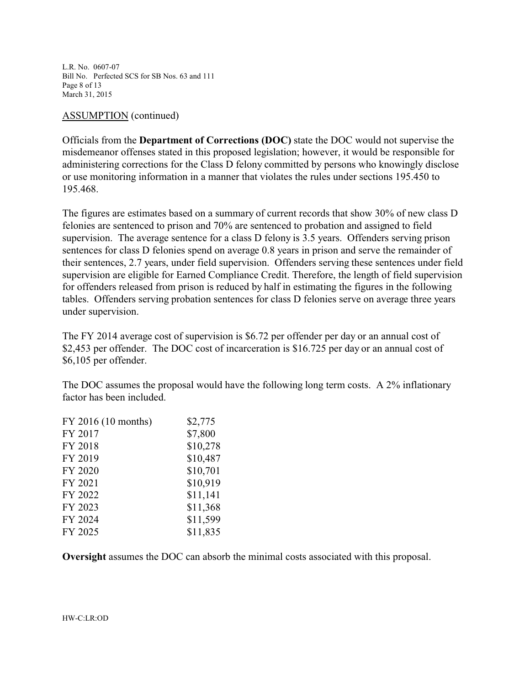L.R. No. 0607-07 Bill No. Perfected SCS for SB Nos. 63 and 111 Page 8 of 13 March 31, 2015

#### ASSUMPTION (continued)

Officials from the **Department of Corrections (DOC)** state the DOC would not supervise the misdemeanor offenses stated in this proposed legislation; however, it would be responsible for administering corrections for the Class D felony committed by persons who knowingly disclose or use monitoring information in a manner that violates the rules under sections 195.450 to 195.468.

The figures are estimates based on a summary of current records that show 30% of new class D felonies are sentenced to prison and 70% are sentenced to probation and assigned to field supervision. The average sentence for a class D felony is 3.5 years. Offenders serving prison sentences for class D felonies spend on average 0.8 years in prison and serve the remainder of their sentences, 2.7 years, under field supervision. Offenders serving these sentences under field supervision are eligible for Earned Compliance Credit. Therefore, the length of field supervision for offenders released from prison is reduced by half in estimating the figures in the following tables. Offenders serving probation sentences for class D felonies serve on average three years under supervision.

The FY 2014 average cost of supervision is \$6.72 per offender per day or an annual cost of \$2,453 per offender. The DOC cost of incarceration is \$16.725 per day or an annual cost of \$6,105 per offender.

The DOC assumes the proposal would have the following long term costs. A 2% inflationary factor has been included.

| FY 2016 (10 months) | \$2,775  |
|---------------------|----------|
| FY 2017             | \$7,800  |
| FY 2018             | \$10,278 |
| FY 2019             | \$10,487 |
| FY 2020             | \$10,701 |
| FY 2021             | \$10,919 |
| FY 2022             | \$11,141 |
| FY 2023             | \$11,368 |
| FY 2024             | \$11,599 |
| FY 2025             | \$11,835 |

**Oversight** assumes the DOC can absorb the minimal costs associated with this proposal.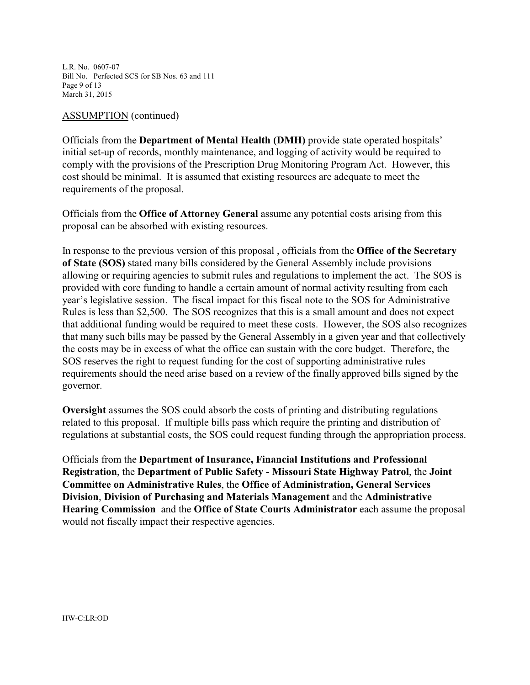L.R. No. 0607-07 Bill No. Perfected SCS for SB Nos. 63 and 111 Page 9 of 13 March 31, 2015

#### ASSUMPTION (continued)

Officials from the **Department of Mental Health (DMH)** provide state operated hospitals' initial set-up of records, monthly maintenance, and logging of activity would be required to comply with the provisions of the Prescription Drug Monitoring Program Act. However, this cost should be minimal. It is assumed that existing resources are adequate to meet the requirements of the proposal.

Officials from the **Office of Attorney General** assume any potential costs arising from this proposal can be absorbed with existing resources.

In response to the previous version of this proposal , officials from the **Office of the Secretary of State (SOS)** stated many bills considered by the General Assembly include provisions allowing or requiring agencies to submit rules and regulations to implement the act. The SOS is provided with core funding to handle a certain amount of normal activity resulting from each year's legislative session. The fiscal impact for this fiscal note to the SOS for Administrative Rules is less than \$2,500. The SOS recognizes that this is a small amount and does not expect that additional funding would be required to meet these costs. However, the SOS also recognizes that many such bills may be passed by the General Assembly in a given year and that collectively the costs may be in excess of what the office can sustain with the core budget. Therefore, the SOS reserves the right to request funding for the cost of supporting administrative rules requirements should the need arise based on a review of the finally approved bills signed by the governor.

**Oversight** assumes the SOS could absorb the costs of printing and distributing regulations related to this proposal. If multiple bills pass which require the printing and distribution of regulations at substantial costs, the SOS could request funding through the appropriation process.

Officials from the **Department of Insurance, Financial Institutions and Professional Registration**, the **Department of Public Safety - Missouri State Highway Patrol**, the **Joint Committee on Administrative Rules**, the **Office of Administration, General Services Division**, **Division of Purchasing and Materials Management** and the **Administrative Hearing Commission** and the **Office of State Courts Administrator** each assume the proposal would not fiscally impact their respective agencies.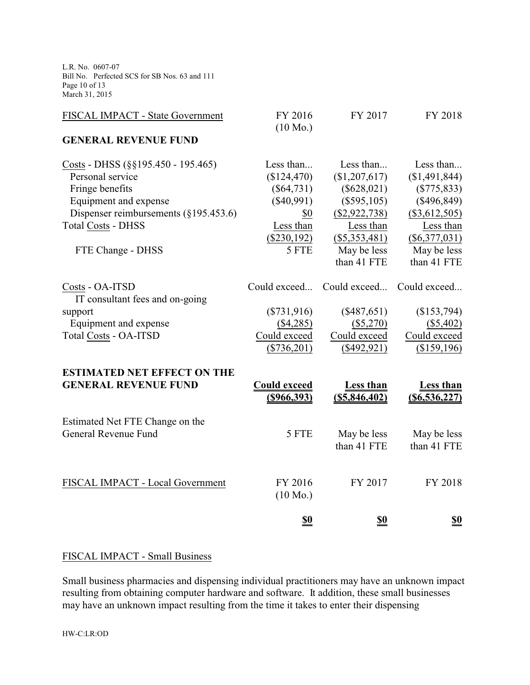L.R. No. 0607-07 Bill No. Perfected SCS for SB Nos. 63 and 111 Page 10 of 13 March 31, 2015

| FISCAL IMPACT - State Government                                                                                                                                                 | FY 2016<br>$(10 \text{ Mo.})$                                                | FY 2017                                                                                      | FY 2018                                                                                     |
|----------------------------------------------------------------------------------------------------------------------------------------------------------------------------------|------------------------------------------------------------------------------|----------------------------------------------------------------------------------------------|---------------------------------------------------------------------------------------------|
| <b>GENERAL REVENUE FUND</b>                                                                                                                                                      |                                                                              |                                                                                              |                                                                                             |
| Costs - DHSS ( $\S$ §195.450 - 195.465)<br>Personal service<br>Fringe benefits<br>Equipment and expense<br>Dispenser reimbursements $(\S195.453.6)$<br><b>Total Costs - DHSS</b> | Less than<br>(\$124,470)<br>$(\$64,731)$<br>$(\$40,991)$<br>\$0<br>Less than | Less than<br>(\$1,207,617)<br>$(\$628,021)$<br>$(\$595,105)$<br>$(\$2,922,738)$<br>Less than | Less than<br>(\$1,491,844)<br>$(\$775, 833)$<br>$(\$496,849)$<br>(\$3,612,505)<br>Less than |
| FTE Change - DHSS                                                                                                                                                                | $(\$230,192)$<br>5 FTE                                                       | $(\$5,353,481)$<br>May be less<br>than 41 FTE                                                | $(\$6,377,031)$<br>May be less<br>than 41 FTE                                               |
| Costs - OA-ITSD<br>IT consultant fees and on-going                                                                                                                               | Could exceed                                                                 | Could exceed                                                                                 | Could exceed                                                                                |
| support                                                                                                                                                                          | $(\$731,916)$                                                                | $(\$487,651)$                                                                                | (\$153,794)                                                                                 |
| Equipment and expense                                                                                                                                                            | $(\$4,285)$                                                                  | $(\$5,270)$                                                                                  | (\$5,402)                                                                                   |
| Total Costs - OA-ITSD                                                                                                                                                            | Could exceed<br>$(\$736,201)$                                                | Could exceed<br>(\$492,921)                                                                  | Could exceed<br>(\$159,196)                                                                 |
| <b>ESTIMATED NET EFFECT ON THE</b><br><b>GENERAL REVENUE FUND</b>                                                                                                                | <b>Could exceed</b><br>$(\$966,393)$                                         | <b>Less than</b><br>(S5, 846, 402)                                                           | <b>Less than</b><br>$($ \$6,536,227)                                                        |
| Estimated Net FTE Change on the<br>General Revenue Fund                                                                                                                          | 5 FTE                                                                        | May be less<br>than 41 FTE                                                                   | May be less<br>than 41 FTE                                                                  |
| FISCAL IMPACT - Local Government                                                                                                                                                 | FY 2016<br>$(10 \text{ Mo.})$                                                | FY 2017                                                                                      | FY 2018                                                                                     |
|                                                                                                                                                                                  | <u>\$0</u>                                                                   | <u>\$0</u>                                                                                   | <u>\$0</u>                                                                                  |

# FISCAL IMPACT - Small Business

Small business pharmacies and dispensing individual practitioners may have an unknown impact resulting from obtaining computer hardware and software. It addition, these small businesses may have an unknown impact resulting from the time it takes to enter their dispensing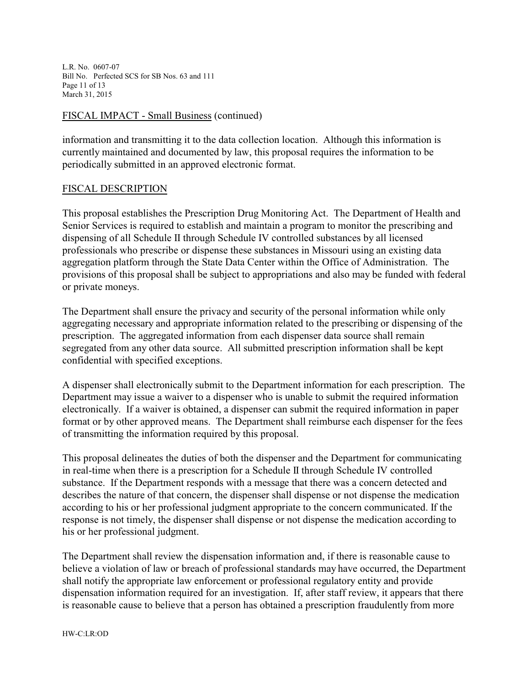L.R. No. 0607-07 Bill No. Perfected SCS for SB Nos. 63 and 111 Page 11 of 13 March 31, 2015

#### FISCAL IMPACT - Small Business (continued)

information and transmitting it to the data collection location. Although this information is currently maintained and documented by law, this proposal requires the information to be periodically submitted in an approved electronic format.

#### FISCAL DESCRIPTION

This proposal establishes the Prescription Drug Monitoring Act. The Department of Health and Senior Services is required to establish and maintain a program to monitor the prescribing and dispensing of all Schedule II through Schedule IV controlled substances by all licensed professionals who prescribe or dispense these substances in Missouri using an existing data aggregation platform through the State Data Center within the Office of Administration. The provisions of this proposal shall be subject to appropriations and also may be funded with federal or private moneys.

The Department shall ensure the privacy and security of the personal information while only aggregating necessary and appropriate information related to the prescribing or dispensing of the prescription. The aggregated information from each dispenser data source shall remain segregated from any other data source. All submitted prescription information shall be kept confidential with specified exceptions.

A dispenser shall electronically submit to the Department information for each prescription. The Department may issue a waiver to a dispenser who is unable to submit the required information electronically. If a waiver is obtained, a dispenser can submit the required information in paper format or by other approved means. The Department shall reimburse each dispenser for the fees of transmitting the information required by this proposal.

This proposal delineates the duties of both the dispenser and the Department for communicating in real-time when there is a prescription for a Schedule II through Schedule IV controlled substance. If the Department responds with a message that there was a concern detected and describes the nature of that concern, the dispenser shall dispense or not dispense the medication according to his or her professional judgment appropriate to the concern communicated. If the response is not timely, the dispenser shall dispense or not dispense the medication according to his or her professional judgment.

The Department shall review the dispensation information and, if there is reasonable cause to believe a violation of law or breach of professional standards may have occurred, the Department shall notify the appropriate law enforcement or professional regulatory entity and provide dispensation information required for an investigation. If, after staff review, it appears that there is reasonable cause to believe that a person has obtained a prescription fraudulently from more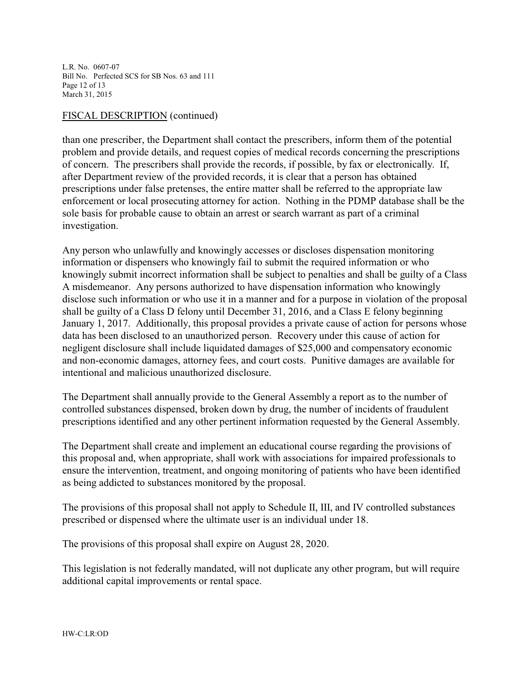L.R. No. 0607-07 Bill No. Perfected SCS for SB Nos. 63 and 111 Page 12 of 13 March 31, 2015

#### FISCAL DESCRIPTION (continued)

than one prescriber, the Department shall contact the prescribers, inform them of the potential problem and provide details, and request copies of medical records concerning the prescriptions of concern. The prescribers shall provide the records, if possible, by fax or electronically. If, after Department review of the provided records, it is clear that a person has obtained prescriptions under false pretenses, the entire matter shall be referred to the appropriate law enforcement or local prosecuting attorney for action. Nothing in the PDMP database shall be the sole basis for probable cause to obtain an arrest or search warrant as part of a criminal investigation.

Any person who unlawfully and knowingly accesses or discloses dispensation monitoring information or dispensers who knowingly fail to submit the required information or who knowingly submit incorrect information shall be subject to penalties and shall be guilty of a Class A misdemeanor. Any persons authorized to have dispensation information who knowingly disclose such information or who use it in a manner and for a purpose in violation of the proposal shall be guilty of a Class D felony until December 31, 2016, and a Class E felony beginning January 1, 2017. Additionally, this proposal provides a private cause of action for persons whose data has been disclosed to an unauthorized person. Recovery under this cause of action for negligent disclosure shall include liquidated damages of \$25,000 and compensatory economic and non-economic damages, attorney fees, and court costs. Punitive damages are available for intentional and malicious unauthorized disclosure.

The Department shall annually provide to the General Assembly a report as to the number of controlled substances dispensed, broken down by drug, the number of incidents of fraudulent prescriptions identified and any other pertinent information requested by the General Assembly.

The Department shall create and implement an educational course regarding the provisions of this proposal and, when appropriate, shall work with associations for impaired professionals to ensure the intervention, treatment, and ongoing monitoring of patients who have been identified as being addicted to substances monitored by the proposal.

The provisions of this proposal shall not apply to Schedule II, III, and IV controlled substances prescribed or dispensed where the ultimate user is an individual under 18.

The provisions of this proposal shall expire on August 28, 2020.

This legislation is not federally mandated, will not duplicate any other program, but will require additional capital improvements or rental space.